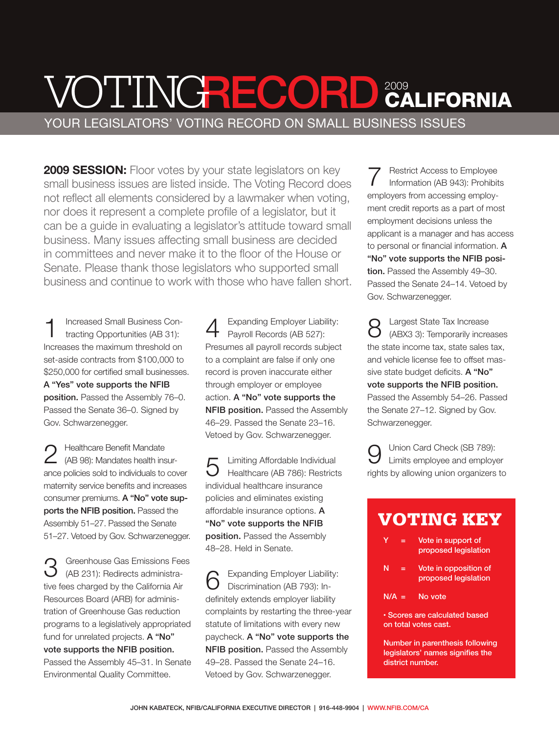### VOTINGRECORD 2009<br>YOUR LEGISLATORS' VOTING RECORD ON SMALL BUSINESS ISSUES 2009 **CALIFORNIA**

2009 SESSION: Floor votes by your state legislators on key small business issues are listed inside. The Voting Record does not reflect all elements considered by a lawmaker when voting, nor does it represent a complete profile of a legislator, but it can be a guide in evaluating a legislator's attitude toward small business. Many issues affecting small business are decided in committees and never make it to the floor of the House or Senate. Please thank those legislators who supported small business and continue to work with those who have fallen short.

1 Increased Small Business Contracting Opportunities (AB 31): Increases the maximum threshold on set-aside contracts from \$100,000 to \$250,000 for certified small businesses. A "Yes" vote supports the NFIB position. Passed the Assembly 76–0. Passed the Senate 36–0. Signed by Gov. Schwarzenegger.

2 Healthcare Benefit Mandate<br>2 (AB 98): Mandates health insurance policies sold to individuals to cover maternity service benefits and increases consumer premiums. A "No" vote supports the NFIB position. Passed the Assembly 51–27. Passed the Senate 51–27. Vetoed by Gov. Schwarzenegger.

3 Greenhouse Gas Emissions Fees (AB 231): Redirects administrative fees charged by the California Air Resources Board (ARB) for administration of Greenhouse Gas reduction programs to a legislatively appropriated fund for unrelated projects. A "No" vote supports the NFIB position. Passed the Assembly 45–31. In Senate Environmental Quality Committee.

Expanding Employer Liability: Payroll Records (AB 527): Presumes all payroll records subject to a complaint are false if only one record is proven inaccurate either through employer or employee action. A "No" vote supports the NFIB position. Passed the Assembly 46–29. Passed the Senate 23–16. Vetoed by Gov. Schwarzenegger.

5 Limiting Affordable Individual Healthcare (AB 786): Restricts individual healthcare insurance policies and eliminates existing affordable insurance options. A "No" vote supports the NFIB position. Passed the Assembly 48–28. Held in Senate.

Expanding Employer Liability: Discrimination (AB 793): Indefinitely extends employer liability complaints by restarting the three-year statute of limitations with every new paycheck. A "No" vote supports the NFIB position. Passed the Assembly 49–28. Passed the Senate 24–16. Vetoed by Gov. Schwarzenegger.

7 Restrict Access to Employee Information (AB 943): Prohibits employers from accessing employment credit reports as a part of most employment decisions unless the applicant is a manager and has access to personal or financial information. A "No" vote supports the NFIB position. Passed the Assembly 49-30. Passed the Senate 24–14. Vetoed by Gov. Schwarzenegger.

8 Largest State Tax Increase (ABX3 3): Temporarily increases the state income tax, state sales tax, and vehicle license fee to offset massive state budget deficits. A "No" vote supports the NFIB position. Passed the Assembly 54–26. Passed the Senate 27–12. Signed by Gov. Schwarzenegger.

9 Union Card Check (SB 789): Limits employee and employer rights by allowing union organizers to

#### VOTING KEY

- Vote in support of proposed legislation
- $N =$  Vote in opposition of proposed legislation
- $N/A = NQ$

• Scores are calculated based on total votes cast.

Number in parenthesis following legislators' names signifies the district number.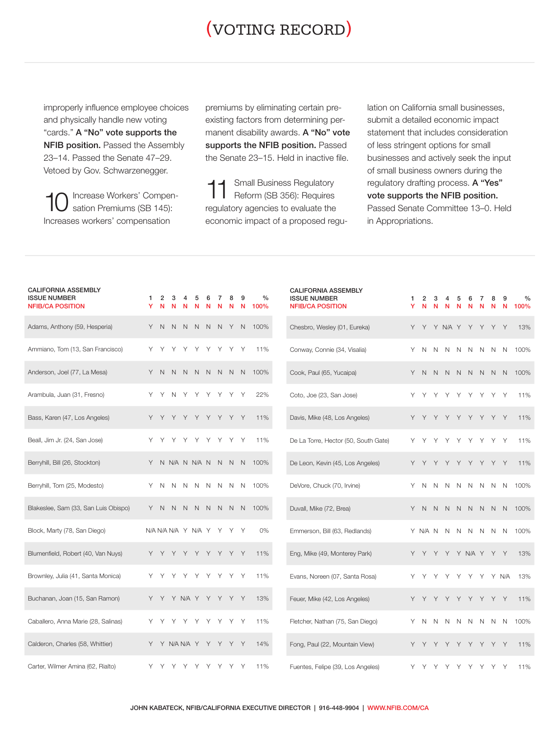### (VOTING RECORD)

improperly influence employee choices and physically handle new voting "cards." A "No" vote supports the **NFIB position.** Passed the Assembly 23–14. Passed the Senate 47–29. Vetoed by Gov. Schwarzenegger.

10 Increase Workers' Compen-sation Premiums (SB 145): Increases workers' compensation

premiums by eliminating certain preexisting factors from determining permanent disability awards. A "No" vote supports the NFIB position. Passed the Senate 23–15. Held in inactive file.

11 Small Business Regulatory<br>Reform (SB 356): Requires regulatory agencies to evaluate the economic impact of a proposed regulation on California small businesses, submit a detailed economic impact statement that includes consideration of less stringent options for small businesses and actively seek the input of small business owners during the regulatory drafting process. A "Yes" vote supports the NFIB position. Passed Senate Committee 13–0. Held in Appropriations.

| <b>CALIFORNIA ASSEMBLY</b><br><b>ISSUE NUMBER</b><br><b>NFIB/CA POSITION</b> | 1   | $\overline{2}$ | з |   |                       | 6<br>N | N     |       | 9<br>N | $\frac{0}{0}$<br>100% | <b>CALIFORNIA ASSEMBLY</b><br><b>ISSUE NUMBER</b><br><b>NFIB/CA POSITION</b> | 1<br>Y | 2<br>N              | 3<br>N       |              |             |             |       | 8<br>N | 9<br>N      | $\%$<br>100% |
|------------------------------------------------------------------------------|-----|----------------|---|---|-----------------------|--------|-------|-------|--------|-----------------------|------------------------------------------------------------------------------|--------|---------------------|--------------|--------------|-------------|-------------|-------|--------|-------------|--------------|
| Adams, Anthony (59, Hesperia)                                                |     | Y N            | N |   | N N N N Y N           |        |       |       |        | 100%                  | Chesbro, Wesley (01, Eureka)                                                 |        | Y Y Y N/A Y Y Y Y   |              |              |             |             |       |        | Y           | 13%          |
| Ammiano, Tom (13, San Francisco)                                             | Y   | Y              | Υ | Υ | Υ                     | Y      | Υ     | Y     | Y      | 11%                   | Conway, Connie (34, Visalia)                                                 | Y      | N                   | N            | <sup>N</sup> | N           | N N         |       | N      | N           | 100%         |
| Anderson, Joel (77, La Mesa)                                                 |     | Y N            | N |   | N N N N N N           |        |       |       |        | 100%                  | Cook, Paul (65, Yucaipa)                                                     | Y      | N.                  | N            |              | N N         | N N N       |       |        | N           | 100%         |
| Arambula, Juan (31, Fresno)                                                  | Y   | Y              | N | Y | Y                     | Y      | Y     | Y     | Y      | 22%                   | Coto, Joe (23, San Jose)                                                     | Y.     | Y                   | Y            | Y            | Y           | Y           | Y     | Y      | Y           | 11%          |
| Bass, Karen (47, Los Angeles)                                                |     | Y Y            | Y | Y | Y Y Y Y Y             |        |       |       |        | 11%                   | Davis, Mike (48, Los Angeles)                                                |        | Y Y Y Y Y Y Y Y Y   |              |              |             |             |       |        |             | 11%          |
| Beall, Jim Jr. (24, San Jose)                                                | Y   | Y              | Y | Y |                       |        | Y Y Y | Y     | Y      | 11%                   | De La Torre, Hector (50, South Gate)                                         | Y.     | Y                   | Υ            | Υ            | Y           | Y           | Y     | Y      | Y           | 11%          |
| Berryhill, Bill (26, Stockton)                                               |     |                |   |   | Y N N/A N N/A N N N N |        |       |       |        | 100%                  | De Leon, Kevin (45, Los Angeles)                                             |        | Y Y                 | Y            | Y            | Y           | Y Y Y Y     |       |        |             | 11%          |
| Berryhill, Tom (25, Modesto)                                                 | Y   | N              | N | N | N                     | N      | N     | N     | N      | 100%                  | DeVore, Chuck (70, Irvine)                                                   | Y      | N                   | N            | N            | $\mathbb N$ | N           | N     | N      | N           | 100%         |
| Blakeslee, Sam (33, San Luis Obispo)                                         | Y   | <sup>N</sup>   | N | N | N N                   |        |       | N N N |        | 100%                  | Duvall, Mike (72, Brea)                                                      | Y      | N.                  | $\mathsf{N}$ | N            | N           | N N N       |       |        | $\mathbb N$ | 100%         |
| Block, Marty (78, San Diego)                                                 |     |                |   |   | N/AN/AN/AY N/AY YYY   |        |       |       |        | $0\%$                 | Emmerson, Bill (63, Redlands)                                                |        | Y NANNN             |              |              |             | N N N       |       |        | N           | 100%         |
| Blumenfield, Robert (40, Van Nuys)                                           |     | Y Y            | Y |   | Y Y Y Y Y Y           |        |       |       |        | 11%                   | Eng, Mike (49, Monterey Park)                                                |        | Y Y Y Y Y N/A Y Y Y |              |              |             |             |       |        |             | 13%          |
| Brownley, Julia (41, Santa Monica)                                           | Υ   | Y              | Υ | Υ | Υ                     | Y      | Y     | Y     | Y      | 11%                   | Evans, Noreen (07, Santa Rosa)                                               | Y      |                     | Υ            | Y            | Y           | Y           | Y     |        | Y N/A       | 13%          |
| Buchanan, Joan (15, San Ramon)                                               |     |                |   |   | Y Y Y N/A Y Y Y Y Y   |        |       |       |        | 13%                   | Feuer, Mike (42, Los Angeles)                                                |        |                     |              |              | Y           |             | Y Y Y |        | Y           | 11%          |
| Caballero, Anna Marie (28, Salinas)                                          | Y Y |                | Y |   | Y Y Y Y Y Y           |        |       |       |        | 11%                   | Fletcher, Nathan (75, San Diego)                                             | Y.     | N                   | N            | $\mathbb N$  | N           | N N N N     |       |        |             | 100%         |
| Calderon, Charles (58, Whittier)                                             |     |                |   |   | Y Y N/A N/A Y Y Y Y Y |        |       |       |        | 14%                   | Fong, Paul (22, Mountain View)                                               |        | Y Y                 | Y            |              |             | Y Y Y Y Y Y |       |        |             | 11%          |
| Carter, Wilmer Amina (62, Rialto)                                            | Y.  | Y              | Y | Y | Y                     | Y      | Y     | Y     | Y      | 11%                   | Fuentes, Felipe (39, Los Angeles)                                            |        | Y Y                 | Y            | Y            | Y           | Y           | Y     | Y.     | Y           | 11%          |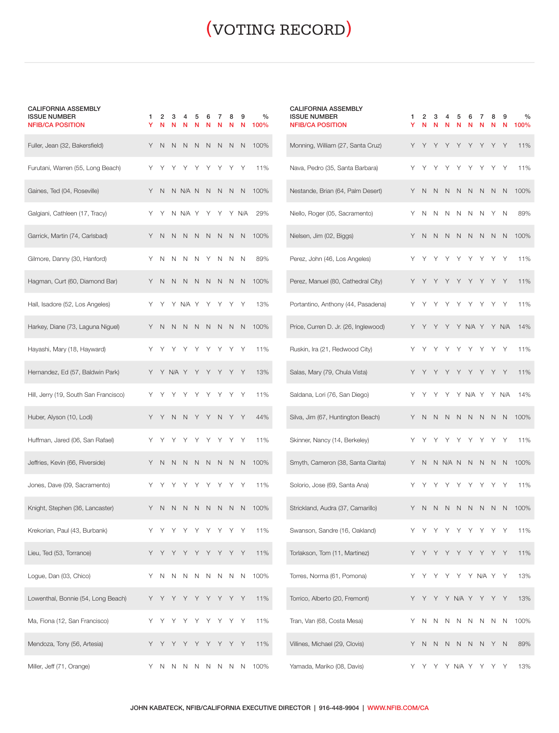# (VOTING RECORD)

1 2 3 4 5 6 7 8 9 %

| <b>CALIFORNIA ASSEMBLY</b> |
|----------------------------|
| <b>ISSUE NUMBER</b>        |
|                            |

| <b>NFIB/CA POSITION</b>               | Y | N | N            | N           | N | N            | N            | N | Ν            | 100% |
|---------------------------------------|---|---|--------------|-------------|---|--------------|--------------|---|--------------|------|
| Fuller, Jean (32, Bakersfield)        | Υ | N | N            | N           | N | N            | N            | N | N            | 100% |
| Furutani, Warren (55, Long Beach)     | Υ | Υ | Υ            | Υ           | Υ | Y            | Υ            | Υ | Υ            | 11%  |
| Gaines, Ted (04, Roseville)           | Y | N |              | N N/A N     |   | N            | $\mathsf{N}$ | N | N            | 100% |
| Galgiani, Cathleen (17, Tracy)        | Υ | Υ | N            | N/A         | Y | Υ            | Υ            | Υ | N/A          | 29%  |
| Garrick, Martin (74, Carlsbad)        | Υ | N | N            | N           | N | N            | N            | N | N            | 100% |
| Gilmore, Danny (30, Hanford)          | Υ | Ν | N            | Ν           | N | Υ            | N            | N | N            | 89%  |
| Hagman, Curt (60, Diamond Bar)        | Y | Ν | N            | Ν           | N | N            | $\mathsf{N}$ | N | N            | 100% |
| Hall, Isadore (52, Los Angeles)       | Υ |   |              | N/A         | Υ | Υ            |              |   | Υ            | 13%  |
| Harkey, Diane (73, Laguna Niguel)     | Y | Ν | N            | Ν           | N | N            | N            | N | N            | 100% |
| Hayashi, Mary (18, Hayward)           | Υ | Υ | Υ            | Υ           | Υ | Υ            | Υ            |   | Υ            | 11%  |
| Hernandez, Ed (57, Baldwin Park)      | Y | Υ | N/A          | Y           | Υ | Y            | Y            | Υ | Y            | 13%  |
| Hill, Jerry (19, South San Francisco) | Υ |   |              | Υ           | Υ | Υ            | Υ            |   | Υ            | 11%  |
| Huber, Alyson (10, Lodi)              | Υ | Υ | N            | N           | Υ | Y            | N            | Υ | Υ            | 44%  |
| Huffman, Jared (06, San Rafael)       | Υ | Υ | Υ            | Υ           | Υ | Y            | Υ            | Υ | Y            | 11%  |
| Jeffries, Kevin (66, Riverside)       | Υ | N | N            | Ν           | N | N            | $\mathsf{N}$ | N | N            | 100% |
| Jones, Dave (09, Sacramento)          | Υ | Υ | Υ            | Υ           | Υ | Υ            | Υ            | Υ | Υ            | 11%  |
| Knight, Stephen (36, Lancaster)       | Υ | Ν | N            | Ν           | N | N            | Ν            | N | N            | 100% |
| Krekorian, Paul (43, Burbank)         |   |   |              |             |   |              |              |   | Υ            | 11%  |
| Lieu, Ted (53, Torrance)              | Υ | Υ | Y            | Υ           | Υ | Υ            | Υ            | Υ | Υ            | 11%  |
| Logue, Dan (03, Chico)                | Υ | N | $\mathsf{N}$ | $\mathsf N$ | N | $\mathsf{N}$ | N            | Ν | $\mathsf{N}$ | 100% |
| Lowenthal, Bonnie (54, Long Beach)    | Υ | Υ | Y            | Υ           | Υ | Y            | Y            | Υ | Y            | 11%  |
| Ma, Fiona (12, San Francisco)         | Υ |   |              | Υ           | Υ | Υ            |              | Υ | Υ            | 11%  |
| Mendoza, Tony (56, Artesia)           | Υ | Υ | Υ            | Υ           | Υ | Υ            | Υ            | Υ | Υ            | 11%  |
| Miller, Jeff (71, Orange)             | Υ | Ν | Ν            | Ν           | Ν | Ν            | Ν            | Ν | Ν            | 100% |

| <b>CALIFORNIA ASSEMBLY</b><br><b>ISSUE NUMBER</b><br><b>NFIB/CA POSITION</b> | 1<br>Υ | 2<br>N | 3<br>Ñ | 4<br>N | 5<br>Ν  | 6<br>Ν | 7<br>N  | 8<br>Ν | 9<br>Ν | %<br>100% |
|------------------------------------------------------------------------------|--------|--------|--------|--------|---------|--------|---------|--------|--------|-----------|
| Monning, William (27, Santa Cruz)                                            | Υ      | Υ      | Υ      | Υ      | Υ       | Υ      | Υ       | Υ      | Υ      | 11%       |
| Nava, Pedro (35, Santa Barbara)                                              | Υ      | Υ      | Υ      | Υ      | Υ       | Υ      | Υ       | Υ      | Υ      | 11%       |
| Nestande, Brian (64, Palm Desert)                                            | Y      | Ν      | N      | Ν      | Ν       | Ν      | Ν       | Ν      | N      | 100%      |
| Niello, Roger (05, Sacramento)                                               | Υ      | N      | Ν      | Ν      | Ν       | Ν      | Ν       | Υ      | N      | 89%       |
| Nielsen, Jim (02, Biggs)                                                     | Υ      | Ν      | N      | Ν      | N       | Ν      | Ν       | N      | N      | 100%      |
| Perez, John (46, Los Angeles)                                                | Υ      | Υ      | Υ      | Υ      | Υ       | Υ      | Υ       | Υ      | Υ      | 11%       |
| Perez, Manuel (80, Cathedral City)                                           | Υ      | Υ      | Υ      | Υ      | Υ       | Y      | Y       | Υ      | Υ      | 11%       |
| Portantino, Anthony (44, Pasadena)                                           | Υ      |        |        |        |         |        | Υ       | Υ      |        | 11%       |
| Price, Curren D. Jr. (26, Inglewood)                                         | Υ      | Υ      | Υ      | Y      | Υ       | N/A    | Y       | Υ      | N/A    | 14%       |
| Ruskin, Ira (21, Redwood City)                                               | Υ      | Υ      | Υ      | Υ      | Υ       | Υ      | Υ       | Υ      | Y      | 11%       |
| Salas, Mary (79, Chula Vista)                                                | Υ      | Υ      | Y      | Y      | Υ       | Υ      | Y       | Υ      | Y      | 11%       |
| Saldana, Lori (76, San Diego)                                                | Υ      |        | Υ      | Υ      | Υ       | N/A    | Y       | Υ      | N/A    | 14%       |
| Silva, Jim (67, Huntington Beach)                                            | Υ      | Ν      | N      | Ν      | Ν       | N      | Ν       | Ν      | N      | 100%      |
| Skinner, Nancy (14, Berkeley)                                                | Υ      | Υ      | Υ      | Υ      | Υ       | Υ      | Υ       | Υ      | Υ      | 11%       |
| Smyth, Cameron (38, Santa Clarita)                                           | Υ      | Ν      | Ν      | N/A    | N       | Ν      | Ν       | Ν      | Ν      | 100%      |
| Solorio, Jose (69, Santa Ana)                                                | Υ      | Υ      | Υ      | Υ      | Υ       | Υ      | Υ       | Υ      | Υ      | 11%       |
| Strickland, Audra (37, Camarillo)                                            | Υ      | Ν      | Ν      | N      | Ν       | N      | Ν       | Ν      | Ν      | 100%      |
| Swanson, Sandre (16, Oakland)                                                | Υ      | Υ      | Υ      | Υ      | Υ       | Υ      | Υ       | Υ      | Υ      | 11%       |
| Torlakson, Tom (11, Martinez)                                                |        |        |        |        | Υ       | Y      | Y       | Υ      | Υ      | 11%       |
| Torres, Norma (61, Pomona)                                                   | Υ      | Υ      | Υ      | Υ      | Υ       |        | Y N/A Y |        | Υ      | 13%       |
| Torrico, Alberto (20, Fremont)                                               | Y      | Υ      | Υ      |        | Y N/A Y |        | Υ       | Υ      | Υ      | 13%       |
| Tran, Van (68, Costa Mesa)                                                   | Υ      | N      | N      | Ν      | Ν       | N      | Ν       | N      | Ν      | 100%      |
| Villines, Michael (29, Clovis)                                               | Y      | N      | N      | Ν      | N       | N      | N       | Υ      | N      | 89%       |
| Yamada, Mariko (08, Davis)                                                   | Υ      | Υ      | Υ      |        | Y N/A Y |        | Υ       | Υ      | Υ      | 13%       |